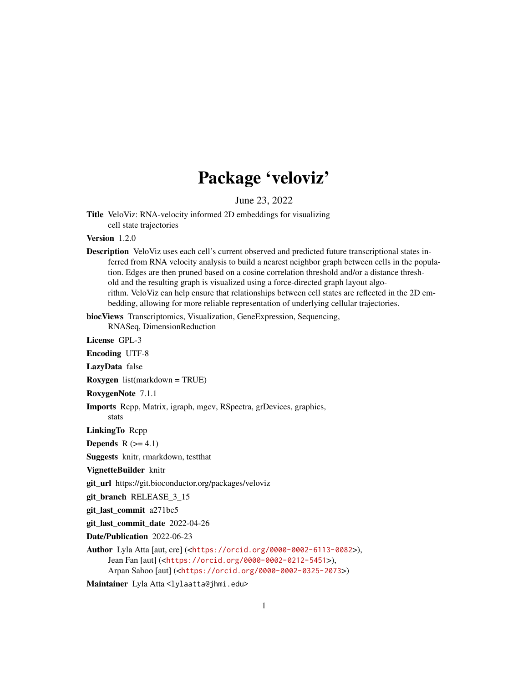## Package 'veloviz'

June 23, 2022

Title VeloViz: RNA-velocity informed 2D embeddings for visualizing cell state trajectories

Version 1.2.0

Description VeloViz uses each cell's current observed and predicted future transcriptional states inferred from RNA velocity analysis to build a nearest neighbor graph between cells in the population. Edges are then pruned based on a cosine correlation threshold and/or a distance threshold and the resulting graph is visualized using a force-directed graph layout algorithm. VeloViz can help ensure that relationships between cell states are reflected in the 2D embedding, allowing for more reliable representation of underlying cellular trajectories.

biocViews Transcriptomics, Visualization, GeneExpression, Sequencing,

RNASeq, DimensionReduction

License GPL-3

Encoding UTF-8

LazyData false

Roxygen list(markdown = TRUE)

RoxygenNote 7.1.1

Imports Rcpp, Matrix, igraph, mgcv, RSpectra, grDevices, graphics, stats

LinkingTo Rcpp

**Depends**  $R$  ( $>= 4.1$ )

Suggests knitr, rmarkdown, testthat

VignetteBuilder knitr

git\_url https://git.bioconductor.org/packages/veloviz

git\_branch RELEASE\_3\_15

git\_last\_commit a271bc5

git\_last\_commit\_date 2022-04-26

Date/Publication 2022-06-23

Author Lyla Atta [aut, cre] (<<https://orcid.org/0000-0002-6113-0082>>), Jean Fan [aut] (<<https://orcid.org/0000-0002-0212-5451>>), Arpan Sahoo [aut] (<<https://orcid.org/0000-0002-0325-2073>>)

Maintainer Lyla Atta <lylaatta@jhmi.edu>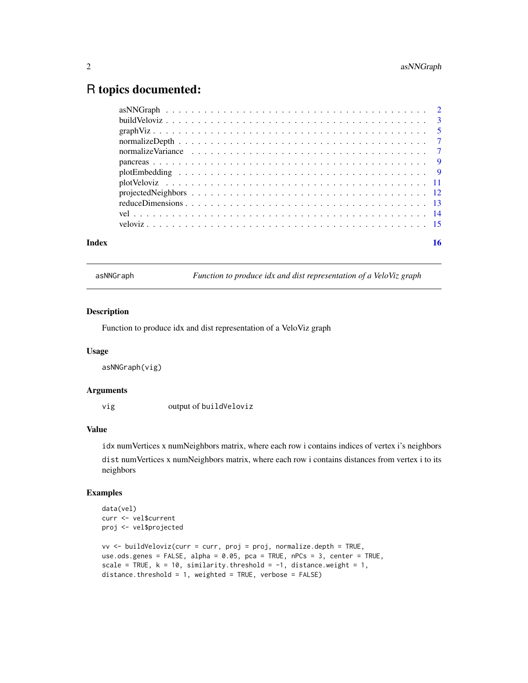### <span id="page-1-0"></span>R topics documented:

| Index | 16 |
|-------|----|
|       |    |
|       |    |
|       |    |
|       |    |
|       |    |
|       |    |
|       |    |
|       |    |
|       |    |
|       |    |
|       |    |
|       |    |

asNNGraph *Function to produce idx and dist representation of a VeloViz graph*

#### Description

Function to produce idx and dist representation of a VeloViz graph

#### Usage

asNNGraph(vig)

#### Arguments

vig output of buildVeloviz

#### Value

idx numVertices x numNeighbors matrix, where each row i contains indices of vertex i's neighbors dist numVertices x numNeighbors matrix, where each row i contains distances from vertex i to its neighbors

#### Examples

```
data(vel)
curr <- vel$current
proj <- vel$projected
vv <- buildVeloviz(curr = curr, proj = proj, normalize.depth = TRUE,
use.ods.genes = FALSE, alpha = 0.05, pca = TRUE, nPCs = 3, center = TRUE,
scale = TRUE, k = 10, similarity.threshold = -1, distance.weight = 1,
distance.threshold = 1, weighted = TRUE, verbose = FALSE)
```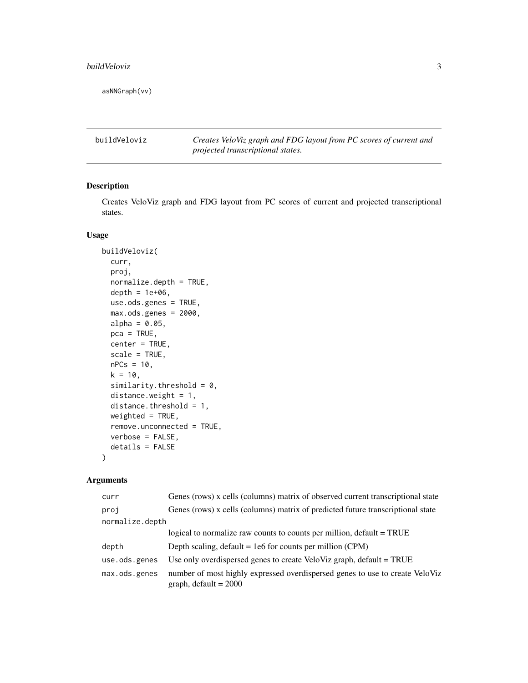#### <span id="page-2-0"></span>buildVeloviz 3

asNNGraph(vv)

buildVeloviz *Creates VeloViz graph and FDG layout from PC scores of current and projected transcriptional states.*

#### Description

Creates VeloViz graph and FDG layout from PC scores of current and projected transcriptional states.

#### Usage

```
buildVeloviz(
  curr,
 proj,
 normalize.depth = TRUE,
  depth = 1e+06,
  use.ods.genes = TRUE,
  max.ods.genes = 2000,
  alpha = 0.05,
  pca = TRUE,center = TRUE,
  scale = TRUE,
  nPCs = 10,
 k = 10,
  similarity.threshold = 0,
  distance.weight = 1,
  distance.threshold = 1,
  weighted = TRUE,
  remove.unconnected = TRUE,
  verbose = FALSE,
  details = FALSE
\lambda
```
#### Arguments

| curr            | Genes (rows) x cells (columns) matrix of observed current transcriptional state                         |
|-----------------|---------------------------------------------------------------------------------------------------------|
| proj            | Genes (rows) x cells (columns) matrix of predicted future transcriptional state                         |
| normalize.depth |                                                                                                         |
|                 | logical to normalize raw counts to counts per million, default = TRUE                                   |
| depth           | Depth scaling, $default = 1e6$ for counts per million (CPM)                                             |
| use.ods.genes   | Use only overdispersed genes to create VeloViz graph, default = TRUE                                    |
| max.ods.genes   | number of most highly expressed overdispersed genes to use to create VeloViz<br>graph, default = $2000$ |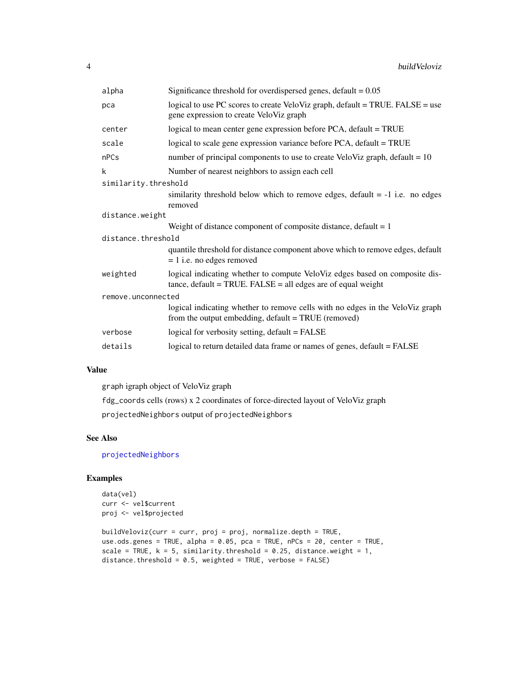<span id="page-3-0"></span>

| alpha                | Significance threshold for overdispersed genes, $default = 0.05$                                                                              |  |
|----------------------|-----------------------------------------------------------------------------------------------------------------------------------------------|--|
| pca                  | logical to use PC scores to create VeloViz graph, default = TRUE. FALSE = use<br>gene expression to create VeloViz graph                      |  |
| center               | logical to mean center gene expression before PCA, default = TRUE                                                                             |  |
| scale                | logical to scale gene expression variance before PCA, default = TRUE                                                                          |  |
| nPCs                 | number of principal components to use to create VeloViz graph, default = $10$                                                                 |  |
| k                    | Number of nearest neighbors to assign each cell                                                                                               |  |
| similarity.threshold |                                                                                                                                               |  |
|                      | similarity threshold below which to remove edges, default $= -1$ i.e. no edges<br>removed                                                     |  |
| distance.weight      |                                                                                                                                               |  |
|                      | Weight of distance component of composite distance, default $= 1$                                                                             |  |
| distance.threshold   |                                                                                                                                               |  |
|                      | quantile threshold for distance component above which to remove edges, default<br>$= 1$ i.e. no edges removed                                 |  |
| weighted             | logical indicating whether to compute VeloViz edges based on composite dis-<br>$tance, default = TRUE. FALSE = all edges are of equal weight$ |  |
| remove.unconnected   |                                                                                                                                               |  |
|                      | logical indicating whether to remove cells with no edges in the VeloViz graph<br>from the output embedding, default = TRUE (removed)          |  |
| verbose              | logical for verbosity setting, default = FALSE                                                                                                |  |
| details              | logical to return detailed data frame or names of genes, default = FALSE                                                                      |  |

#### Value

graph igraph object of VeloViz graph

fdg\_coords cells (rows) x 2 coordinates of force-directed layout of VeloViz graph

projectedNeighbors output of projectedNeighbors

#### See Also

[projectedNeighbors](#page-11-1)

#### Examples

```
data(vel)
curr <- vel$current
proj <- vel$projected
```

```
buildVeloviz(curr = curr, proj = proj, normalize.depth = TRUE,
use.ods.genes = TRUE, alpha = 0.05, pca = TRUE, nPCs = 20, center = TRUE,
scale = TRUE, k = 5, similarity.threshold = 0.25, distance.weight = 1,
distance.threshold = 0.5, weighted = TRUE, verbose = FALSE)
```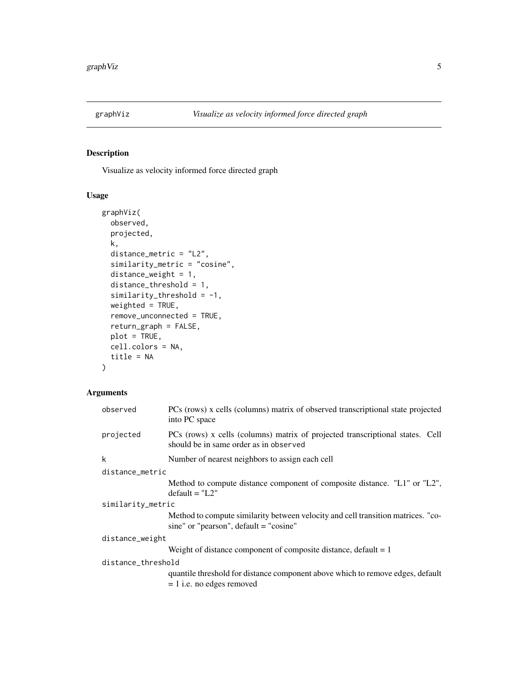<span id="page-4-1"></span><span id="page-4-0"></span>

#### Description

Visualize as velocity informed force directed graph

#### Usage

```
graphViz(
 observed,
  projected,
 k,
 distance_metric = "L2",
  similarity_metric = "cosine",
 distance_weight = 1,
  distance_threshold = 1,
  similarity_{threshold} = -1,
 weighted = TRUE,
  remove_unconnected = TRUE,
  return_graph = FALSE,
 plot = TRUE,
  cell.colors = NA,
  title = NA
)
```
#### Arguments

|                    | observed          | PCs (rows) x cells (columns) matrix of observed transcriptional state projected<br>into PC space                             |  |
|--------------------|-------------------|------------------------------------------------------------------------------------------------------------------------------|--|
|                    | projected         | PCs (rows) x cells (columns) matrix of projected transcriptional states. Cell<br>should be in same order as in observed      |  |
|                    | k                 | Number of nearest neighbors to assign each cell                                                                              |  |
|                    | distance_metric   |                                                                                                                              |  |
|                    |                   | Method to compute distance component of composite distance. "L1" or "L2",<br>$default = "L2"$                                |  |
|                    | similarity_metric |                                                                                                                              |  |
|                    |                   | Method to compute similarity between velocity and cell transition matrices. "co-<br>sine" or "pearson", $default = "cosine"$ |  |
|                    | distance_weight   |                                                                                                                              |  |
|                    |                   | Weight of distance component of composite distance, default $= 1$                                                            |  |
| distance_threshold |                   |                                                                                                                              |  |
|                    |                   | quantile threshold for distance component above which to remove edges, default<br>$= 1$ i.e. no edges removed                |  |
|                    |                   |                                                                                                                              |  |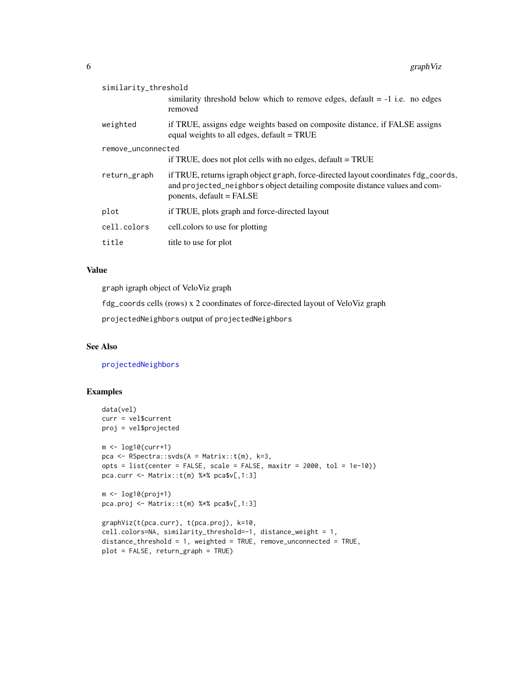<span id="page-5-0"></span>

| similarity_threshold | similarity threshold below which to remove edges, default $= -1$ i.e. no edges<br>removed                                                                                                      |
|----------------------|------------------------------------------------------------------------------------------------------------------------------------------------------------------------------------------------|
| weighted             | if TRUE, assigns edge weights based on composite distance, if FALSE assigns<br>equal weights to all edges, default = TRUE                                                                      |
| remove_unconnected   | if TRUE, does not plot cells with no edges, $default = TRUE$                                                                                                                                   |
| return_graph         | if TRUE, returns igraph object graph, force-directed layout coordinates fdg_coords,<br>and projected_neighbors object detailing composite distance values and com-<br>ponents, default = FALSE |
| plot                 | if TRUE, plots graph and force-directed layout                                                                                                                                                 |
| cell.colors          | cell.colors to use for plotting                                                                                                                                                                |
| title                | title to use for plot                                                                                                                                                                          |

#### Value

graph igraph object of VeloViz graph

fdg\_coords cells (rows) x 2 coordinates of force-directed layout of VeloViz graph

projectedNeighbors output of projectedNeighbors

#### See Also

[projectedNeighbors](#page-11-1)

#### Examples

```
data(vel)
curr = vel$current
proj = vel$projected
m <- log10(curr+1)
pca <- RSpectra::svds(A = Matrix::t(m), k=3,
opts = list(center = FALSE, scale = FALSE, maxitr = 2000, tol = 1e-10)pca.curr <- Matrix::t(m) %*% pca$v[,1:3]
m <- log10(proj+1)
pca.proj <- Matrix::t(m) %*% pca$v[,1:3]
graphViz(t(pca.curr), t(pca.proj), k=10,
cell.colors=NA, similarity_threshold=-1, distance_weight = 1,
```

```
distance_threshold = 1, weighted = TRUE, remove_unconnected = TRUE,
plot = FALSE, return_graph = TRUE)
```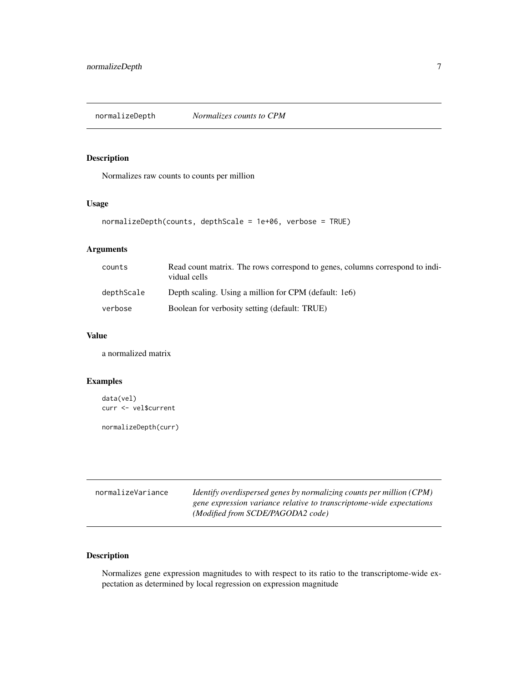<span id="page-6-0"></span>

#### Description

Normalizes raw counts to counts per million

#### Usage

```
normalizeDepth(counts, depthScale = 1e+06, verbose = TRUE)
```
#### Arguments

| counts     | Read count matrix. The rows correspond to genes, columns correspond to indi-<br>vidual cells |
|------------|----------------------------------------------------------------------------------------------|
| depthScale | Depth scaling. Using a million for CPM (default: 1e6)                                        |
| verbose    | Boolean for verbosity setting (default: TRUE)                                                |

#### Value

a normalized matrix

#### Examples

```
data(vel)
curr <- vel$current
```
normalizeDepth(curr)

| normalizeVariance | <i>Identify overdispersed genes by normalizing counts per million (CPM)</i> |
|-------------------|-----------------------------------------------------------------------------|
|                   | gene expression variance relative to transcriptome-wide expectations        |
|                   | (Modified from SCDE/PAGODA2 code)                                           |

#### Description

Normalizes gene expression magnitudes to with respect to its ratio to the transcriptome-wide expectation as determined by local regression on expression magnitude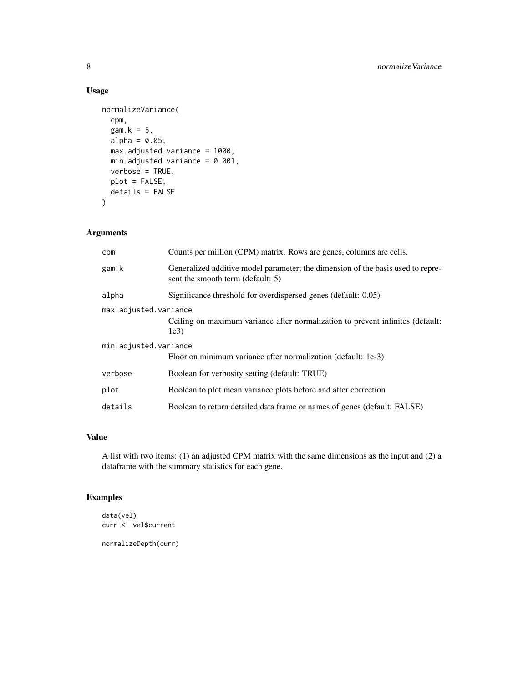#### Usage

```
normalizeVariance(
  cpm,
 gam.k = 5,
 alpha = 0.05,
 max.adjusted.variance = 1000,
 min.adjusted.variance = 0.001,
 verbose = TRUE,
 plot = FALSE,
 details = FALSE
)
```
#### Arguments

| cpm                   | Counts per million (CPM) matrix. Rows are genes, columns are cells.                                                  |  |
|-----------------------|----------------------------------------------------------------------------------------------------------------------|--|
| gam.k                 | Generalized additive model parameter; the dimension of the basis used to repre-<br>sent the smooth term (default: 5) |  |
| alpha                 | Significance threshold for overdispersed genes (default: 0.05)                                                       |  |
| max.adjusted.variance |                                                                                                                      |  |
|                       | Ceiling on maximum variance after normalization to prevent infinites (default:<br>1e3)                               |  |
| min.adjusted.variance |                                                                                                                      |  |
|                       | Floor on minimum variance after normalization (default: 1e-3)                                                        |  |
| verbose               | Boolean for verbosity setting (default: TRUE)                                                                        |  |
| plot                  | Boolean to plot mean variance plots before and after correction                                                      |  |
| details               | Boolean to return detailed data frame or names of genes (default: FALSE)                                             |  |

#### Value

A list with two items: (1) an adjusted CPM matrix with the same dimensions as the input and (2) a dataframe with the summary statistics for each gene.

#### Examples

```
data(vel)
curr <- vel$current
```
normalizeDepth(curr)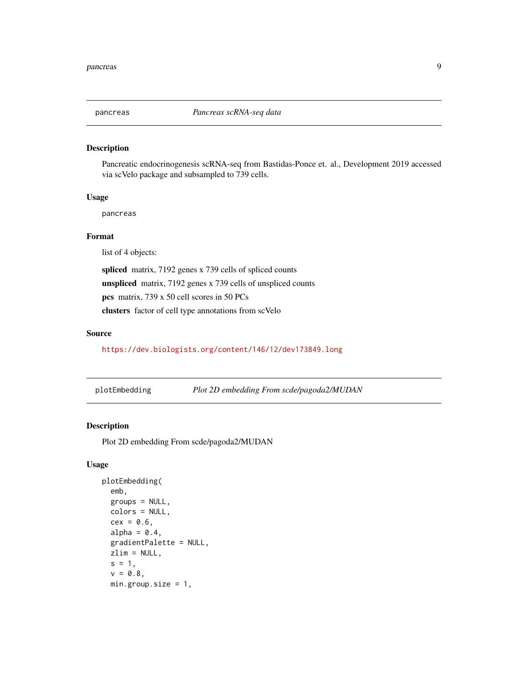<span id="page-8-0"></span>

#### Description

Pancreatic endocrinogenesis scRNA-seq from Bastidas-Ponce et. al., Development 2019 accessed via scVelo package and subsampled to 739 cells.

#### Usage

pancreas

#### Format

list of 4 objects:

spliced matrix, 7192 genes x 739 cells of spliced counts unspliced matrix, 7192 genes x 739 cells of unspliced counts pcs matrix, 739 x 50 cell scores in 50 PCs

clusters factor of cell type annotations from scVelo

#### Source

<https://dev.biologists.org/content/146/12/dev173849.long>

| plotEmbedding |  | Plot 2D embedding From scde/pagoda2/MUDAN |
|---------------|--|-------------------------------------------|
|---------------|--|-------------------------------------------|

#### Description

Plot 2D embedding From scde/pagoda2/MUDAN

#### Usage

```
plotEmbedding(
  emb,
  groups = NULL,
  colors = NULL,
  cex = 0.6,
  alpha = 0.4,
  gradientPalette = NULL,
  zlim = NULL,
  s = 1,v = 0.8,
 min.group.size = 1,
```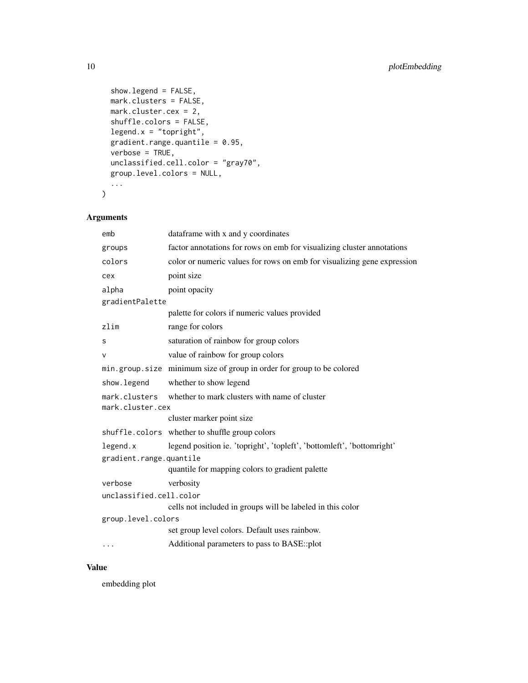```
show.legend = FALSE,
 mark.clusters = FALSE,
 mark.cluster.cex = 2,
 shuffle.colors = FALSE,
 legent.x = "topright",gradient.range.quantile = 0.95,
 verbose = TRUE,
 unclassified.cell.color = "gray70",
 group.level.colors = NULL,
  ...
\mathcal{L}
```
#### Arguments

|                         | emb                     | dataframe with x and y coordinates                                      |
|-------------------------|-------------------------|-------------------------------------------------------------------------|
|                         | groups                  | factor annotations for rows on emb for visualizing cluster annotations  |
|                         | colors                  | color or numeric values for rows on emb for visualizing gene expression |
|                         | cex                     | point size                                                              |
|                         | alpha                   | point opacity                                                           |
|                         | gradientPalette         |                                                                         |
|                         |                         | palette for colors if numeric values provided                           |
|                         | zlim                    | range for colors                                                        |
|                         | s                       | saturation of rainbow for group colors                                  |
|                         | v                       | value of rainbow for group colors                                       |
|                         |                         | min.group.size minimum size of group in order for group to be colored   |
|                         | show. legend            | whether to show legend                                                  |
|                         | mark.clusters           | whether to mark clusters with name of cluster                           |
|                         | mark.cluster.cex        |                                                                         |
|                         |                         | cluster marker point size                                               |
|                         |                         | shuffle.colors whether to shuffle group colors                          |
|                         | legend.x                | legend position ie. 'topright', 'topleft', 'bottomleft', 'bottomright'  |
| gradient.range.quantile |                         |                                                                         |
|                         |                         | quantile for mapping colors to gradient palette                         |
|                         | verbose                 | verbosity                                                               |
|                         | unclassified.cell.color |                                                                         |
|                         |                         | cells not included in groups will be labeled in this color              |
|                         | group.level.colors      |                                                                         |
|                         |                         | set group level colors. Default uses rainbow.                           |
|                         | $\cdots$                | Additional parameters to pass to BASE::plot                             |
|                         |                         |                                                                         |

#### Value

embedding plot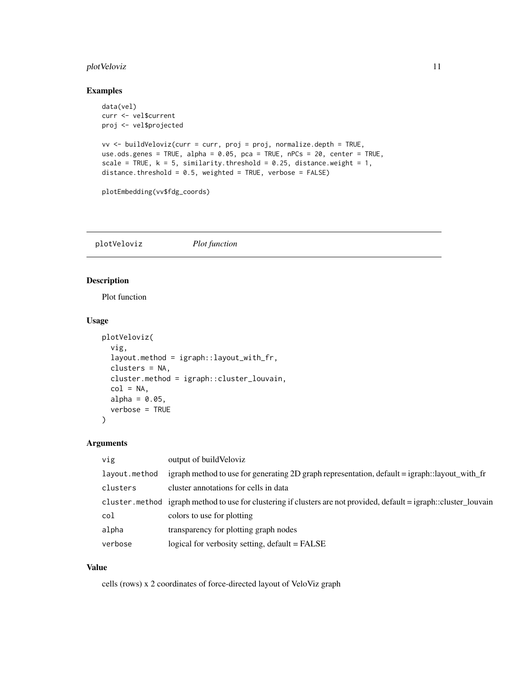#### <span id="page-10-0"></span>plotVeloviz 11

#### Examples

```
data(vel)
curr <- vel$current
proj <- vel$projected
vv <- buildVeloviz(curr = curr, proj = proj, normalize.depth = TRUE,
use.ods.genes = TRUE, alpha = 0.05, pca = TRUE, nPCs = 20, center = TRUE,
scale = TRUE, k = 5, similarity.threshold = 0.25, distance.weight = 1,
distance.threshold = 0.5, weighted = TRUE, verbose = FALSE)
plotEmbedding(vv$fdg_coords)
```
plotVeloviz *Plot function*

#### Description

Plot function

#### Usage

```
plotVeloviz(
  vig,
  layout.method = igraph::layout_with_fr,
  clusters = NA,
  cluster.method = igraph::cluster_louvain,
  col = NA,
  alpha = 0.05,
  verbose = TRUE
)
```
#### Arguments

| vig           | output of build Veloviz                                                                                            |
|---------------|--------------------------------------------------------------------------------------------------------------------|
| layout.method | igraph method to use for generating 2D graph representation, default = igraph::layout_with_fr                      |
| clusters      | cluster annotations for cells in data                                                                              |
|               | cluster method igraph method to use for clustering if clusters are not provided, default = igraph::cluster louvain |
| col           | colors to use for plotting                                                                                         |
| alpha         | transparency for plotting graph nodes                                                                              |
| verbose       | logical for verbosity setting, default = FALSE                                                                     |

#### Value

cells (rows) x 2 coordinates of force-directed layout of VeloViz graph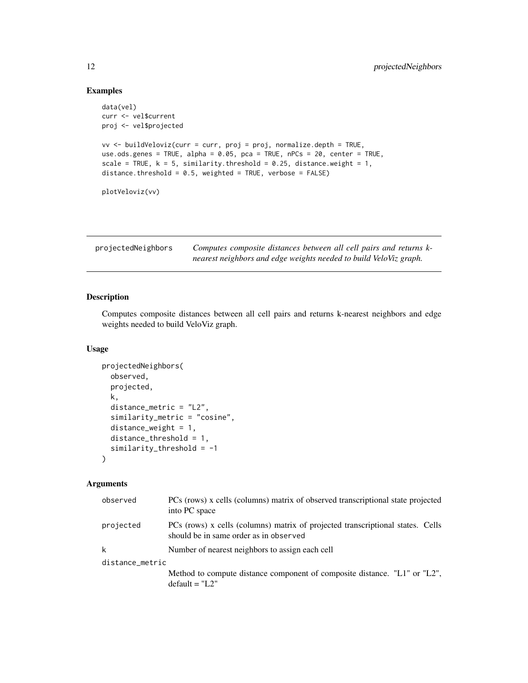#### Examples

```
data(vel)
curr <- vel$current
proj <- vel$projected
vv <- buildVeloviz(curr = curr, proj = proj, normalize.depth = TRUE,
use.ods.genes = TRUE, alpha = 0.05, pca = TRUE, nPCs = 20, center = TRUE,
scale = TRUE, k = 5, similarity.threshold = 0.25, distance.weight = 1,
distance.threshold = 0.5, weighted = TRUE, verbose = FALSE)
plotVeloviz(vv)
```
<span id="page-11-1"></span>

| projectedNeighbors | Computes composite distances between all cell pairs and returns k- |
|--------------------|--------------------------------------------------------------------|
|                    | nearest neighbors and edge weights needed to build VeloViz graph.  |

#### Description

Computes composite distances between all cell pairs and returns k-nearest neighbors and edge weights needed to build VeloViz graph.

#### Usage

```
projectedNeighbors(
  observed,
  projected,
 k,
  distance_metric = "L2",
  similarity_metric = "cosine",
  distance_weight = 1,
 distance_threshold = 1,
  similarity_threshold = -1
)
```
#### Arguments

| PCs (rows) x cells (columns) matrix of observed transcriptional state projected<br>into PC space                         |  |  |  |
|--------------------------------------------------------------------------------------------------------------------------|--|--|--|
| PCs (rows) x cells (columns) matrix of projected transcriptional states. Cells<br>should be in same order as in observed |  |  |  |
| Number of nearest neighbors to assign each cell                                                                          |  |  |  |
| distance_metric                                                                                                          |  |  |  |
| Method to compute distance component of composite distance. "L1" or "L2",<br>$default = "L2"$                            |  |  |  |
|                                                                                                                          |  |  |  |

<span id="page-11-0"></span>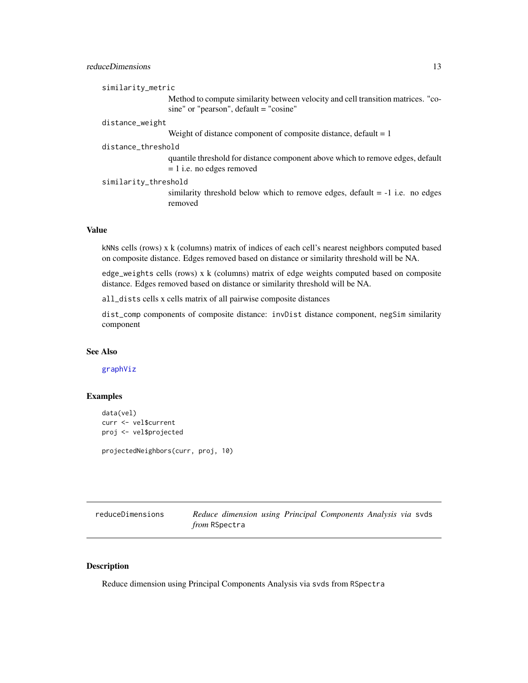#### <span id="page-12-0"></span>reduceDimensions 13

|              | similarity_metric                                                                                                            |
|--------------|------------------------------------------------------------------------------------------------------------------------------|
|              | Method to compute similarity between velocity and cell transition matrices. "co-<br>sine" or "pearson", $default = "cosine"$ |
|              | distance_weight                                                                                                              |
|              | Weight of distance component of composite distance, default $= 1$                                                            |
|              | distance_threshold                                                                                                           |
|              | quantile threshold for distance component above which to remove edges, default<br>$= 1$ i.e. no edges removed                |
|              | similarity_threshold                                                                                                         |
|              | similarity threshold below which to remove edges, default $= -1$ i.e. no edges<br>removed                                    |
|              |                                                                                                                              |
| <b>Value</b> |                                                                                                                              |
|              | kNNs cells (rows) x k (columns) matrix of indices of each cell's nearest neighbors computed based                            |

on composite distance. Edges removed based on distance or similarity threshold will be NA.

edge\_weights cells (rows) x k (columns) matrix of edge weights computed based on composite distance. Edges removed based on distance or similarity threshold will be NA.

all\_dists cells x cells matrix of all pairwise composite distances

dist\_comp components of composite distance: invDist distance component, negSim similarity component

#### See Also

[graphViz](#page-4-1)

#### Examples

```
data(vel)
curr <- vel$current
proj <- vel$projected
```
projectedNeighbors(curr, proj, 10)

reduceDimensions *Reduce dimension using Principal Components Analysis via* svds *from* RSpectra

#### Description

Reduce dimension using Principal Components Analysis via svds from RSpectra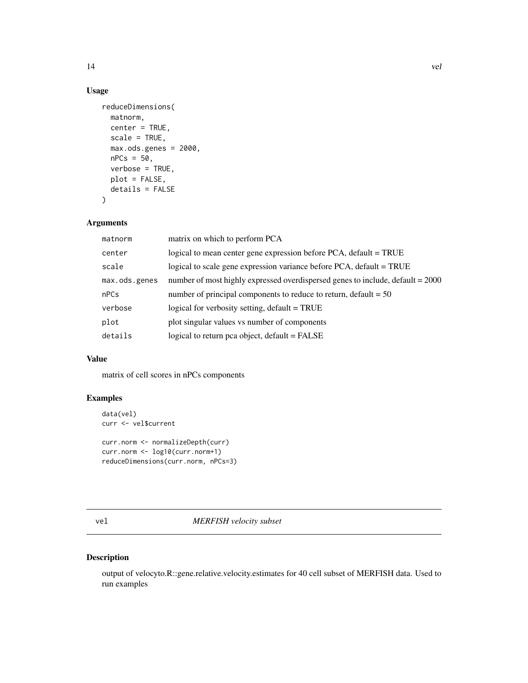#### Usage

```
reduceDimensions(
 matnorm,
  center = TRUE,
  scale = TRUE,
 max.ods.genes = 2000,nPCs = 50,
 verbose = TRUE,
 plot = FALSE,
 details = FALSE
)
```
#### Arguments

| matnorm       | matrix on which to perform PCA                                                 |
|---------------|--------------------------------------------------------------------------------|
| center        | logical to mean center gene expression before PCA, default = TRUE              |
| scale         | logical to scale gene expression variance before PCA, default = TRUE           |
| max.ods.genes | number of most highly expressed overdispersed genes to include, default = 2000 |
| nPCs          | number of principal components to reduce to return, default $= 50$             |
| verbose       | logical for verbosity setting, default = TRUE                                  |
| plot          | plot singular values vs number of components                                   |
| details       | logical to return pca object, default = FALSE                                  |
|               |                                                                                |

#### Value

matrix of cell scores in nPCs components

#### Examples

```
data(vel)
curr <- vel$current
```

```
curr.norm <- normalizeDepth(curr)
curr.norm <- log10(curr.norm+1)
reduceDimensions(curr.norm, nPCs=3)
```
#### vel *MERFISH velocity subset*

#### Description

output of velocyto.R::gene.relative.velocity.estimates for 40 cell subset of MERFISH data. Used to run examples

<span id="page-13-0"></span>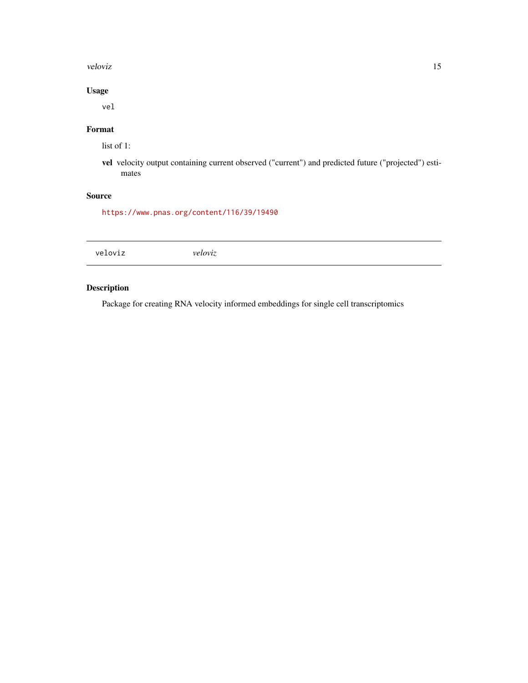#### <span id="page-14-0"></span>veloviz the state of the state of the state of the state of the state of the state of the state of the state of the state of the state of the state of the state of the state of the state of the state of the state of the st

#### Usage

vel

#### Format

list of 1:

vel velocity output containing current observed ("current") and predicted future ("projected") estimates

#### Source

<https://www.pnas.org/content/116/39/19490>

#### Description

Package for creating RNA velocity informed embeddings for single cell transcriptomics